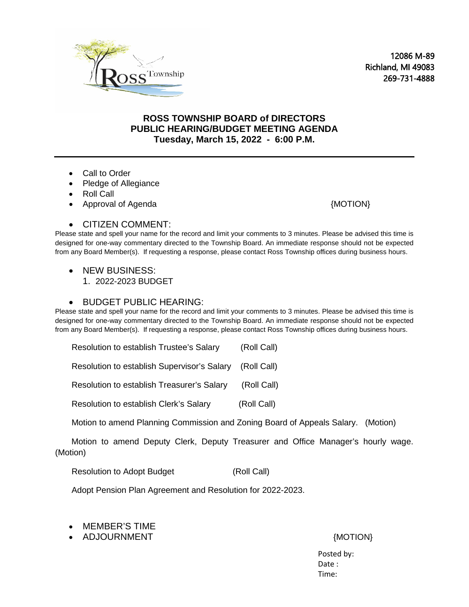

12086 M-89 Richland, MI 49083 269-731-4888

## **ROSS TOWNSHIP BOARD of DIRECTORS PUBLIC HEARING/BUDGET MEETING AGENDA Tuesday, March 15, 2022 - 6:00 P.M.**

- Call to Order
- Pledge of Allegiance
- Roll Call
- Approval of Agenda {MOTION}

## • CITIZEN COMMENT:

Please state and spell your name for the record and limit your comments to 3 minutes. Please be advised this time is designed for one-way commentary directed to the Township Board. An immediate response should not be expected from any Board Member(s). If requesting a response, please contact Ross Township offices during business hours.

- NEW BUSINESS:
	- 1. 2022-2023 BUDGET

## • BUDGET PUBLIC HEARING:

Please state and spell your name for the record and limit your comments to 3 minutes. Please be advised this time is designed for one-way commentary directed to the Township Board. An immediate response should not be expected from any Board Member(s). If requesting a response, please contact Ross Township offices during business hours.

Resolution to establish Trustee's Salary (Roll Call)

Resolution to establish Supervisor's Salary (Roll Call)

Resolution to establish Treasurer's Salary (Roll Call)

Resolution to establish Clerk's Salary (Roll Call)

Motion to amend Planning Commission and Zoning Board of Appeals Salary. (Motion)

 Motion to amend Deputy Clerk, Deputy Treasurer and Office Manager's hourly wage. (Motion)

Resolution to Adopt Budget (Roll Call)

Adopt Pension Plan Agreement and Resolution for 2022-2023.

- MEMBER'S TIME
- ADJOURNMENT THE SERVICE OF STREET AND ADDITION AND MOTION AND A MOTION AND A MOTION ASSAULT.

 Posted by: denotes the contract of the contract of the contract of the contract of the contract of the contract of the contract of the contract of the contract of the contract of the contract of the contract of the contract of the co Time: